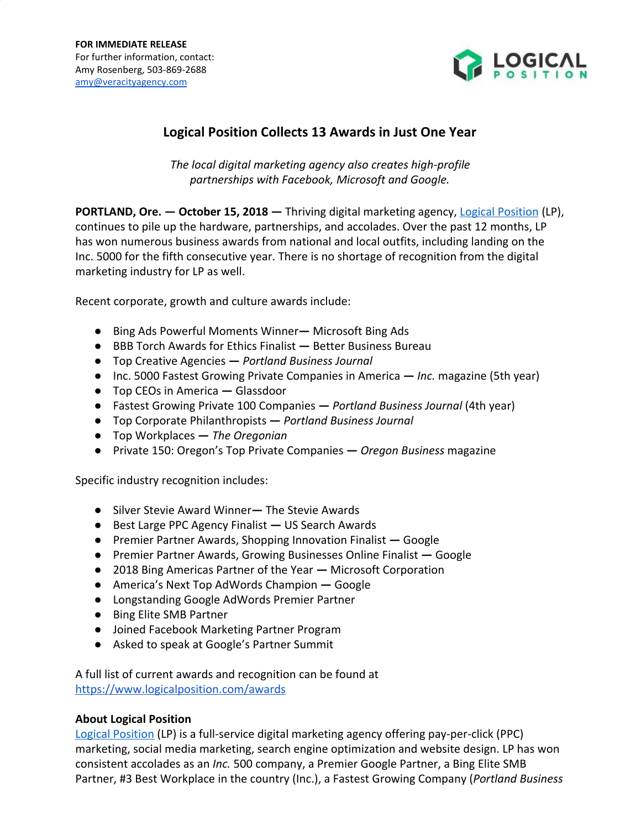

## **Logical Position Collects 13 Awards in Just One Year**

*The local digital marketing agency also creates high-profile partnerships with Facebook, Microsoft and Google.*

**PORTLAND, Ore. — October 15, 2018 —** Thriving digital marketing agency, [Logical Position](http://www.logicalposition.com/) (LP), continues to pile up the hardware, partnerships, and accolades. Over the past 12 months, LP has won numerous business awards from national and local outfits, including landing on the Inc. 5000 for the fifth consecutive year. There is no shortage of recognition from the digital marketing industry for LP as well.

Recent corporate, growth and culture awards include:

- Bing Ads Powerful Moments WinnerMicrosoft Bing Ads
- BBB Torch Awards for Ethics Finalist **—** Better Business Bureau
- Top Creative Agencies **—** *Portland Business Journal*
- Inc. 5000 Fastest Growing Private Companies in America **—** *Inc.* magazine (5th year)
- Top CEOs in America **—** Glassdoor
- Fastest Growing Private 100 Companies **—** *Portland Business Journal* (4th year)
- Top Corporate Philanthropists **—** *Portland Business Journal*
- Top Workplaces **—** *The Oregonian*
- Private 150: Oregon's Top Private Companies **—** *Oregon Business* magazine

Specific industry recognition includes:

- Silver Stevie Award WinnerThe Stevie Awards
- Best Large PPC Agency Finalist **—** US Search Awards
- Premier Partner Awards, Shopping Innovation Finalist **—** Google
- Premier Partner Awards, Growing Businesses Online Finalist **—** Google
- 2018 Bing Americas Partner of the Year **—** Microsoft Corporation
- America's Next Top AdWords Champion Google
- Longstanding Google AdWords Premier Partner
- Bing Elite SMB Partner
- Joined Facebook Marketing Partner Program
- Asked to speak at Google's Partner Summit

A full list of current awards and recognition can be found at <https://www.logicalposition.com/awards>

## **About Logical Position**

[Logical Position](http://www.logicalposition.com/) (LP) is a full-service digital marketing agency offering pay-per-click (PPC) marketing, social media marketing, search engine optimization and website design. LP has won consistent accolades as an *Inc.* 500 company, a Premier Google Partner, a Bing Elite SMB Partner, #3 Best Workplace in the country (Inc.), a Fastest Growing Company (*Portland Business*